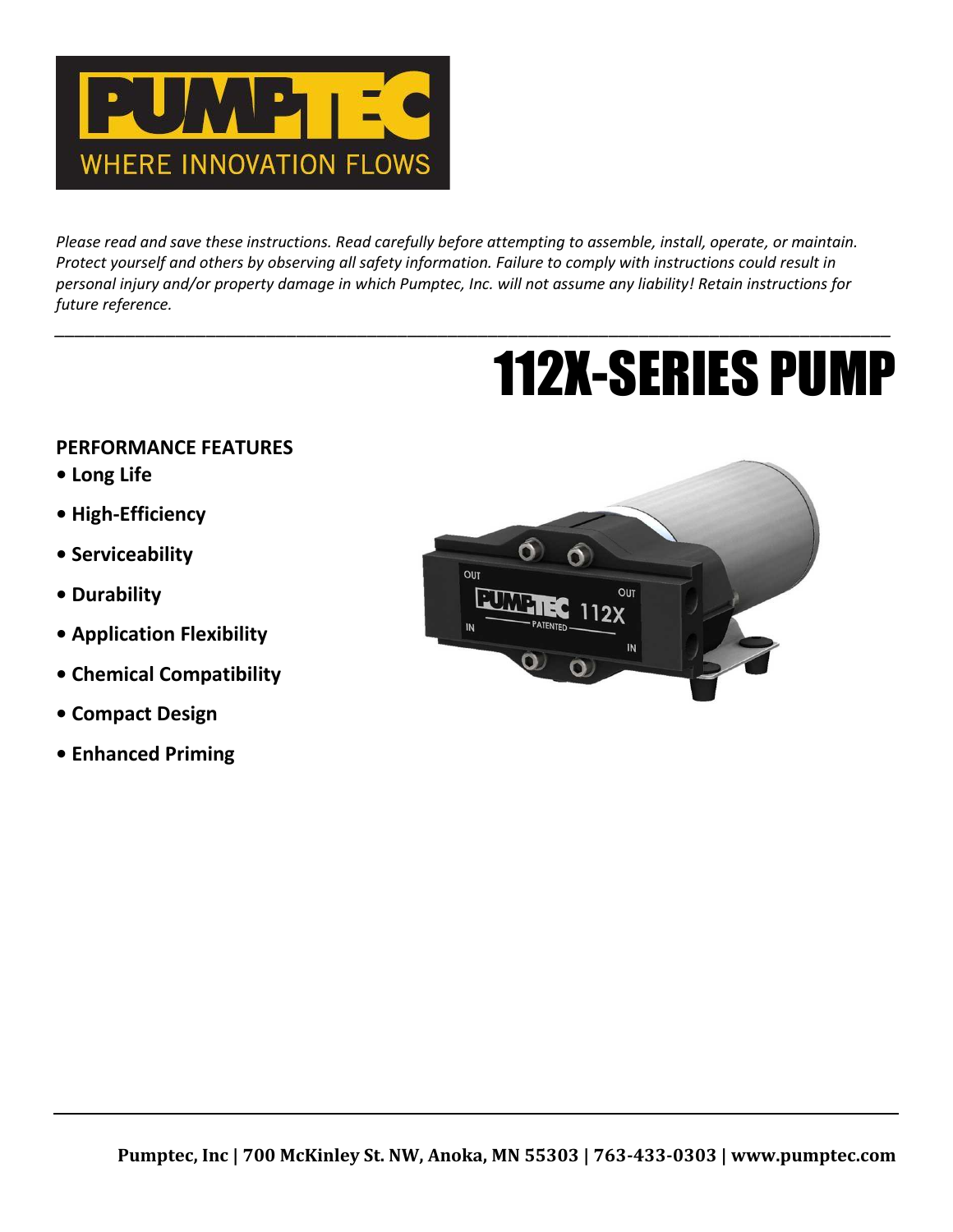

*Please read and save these instructions. Read carefully before attempting to assemble, install, operate, or maintain. Protect yourself and others by observing all safety information. Failure to comply with instructions could result in personal injury and/or property damage in which Pumptec, Inc. will not assume any liability! Retain instructions for future reference.*

*\_\_\_\_\_\_\_\_\_\_\_\_\_\_\_\_\_\_\_\_\_\_\_\_\_\_\_\_\_\_\_\_\_\_\_\_\_\_\_\_\_\_\_\_\_\_\_\_\_\_\_\_\_\_\_\_\_\_\_\_\_\_\_\_\_\_\_\_\_\_\_\_\_\_\_\_\_\_\_\_\_\_\_*

# 112X-SERIES PUMP

# **PERFORMANCE FEATURES**

- **Long Life**
- **High-Efficiency**
- **Serviceability**
- **Durability**
- **Application Flexibility**
- **Chemical Compatibility**
- **Compact Design**
- **Enhanced Priming**

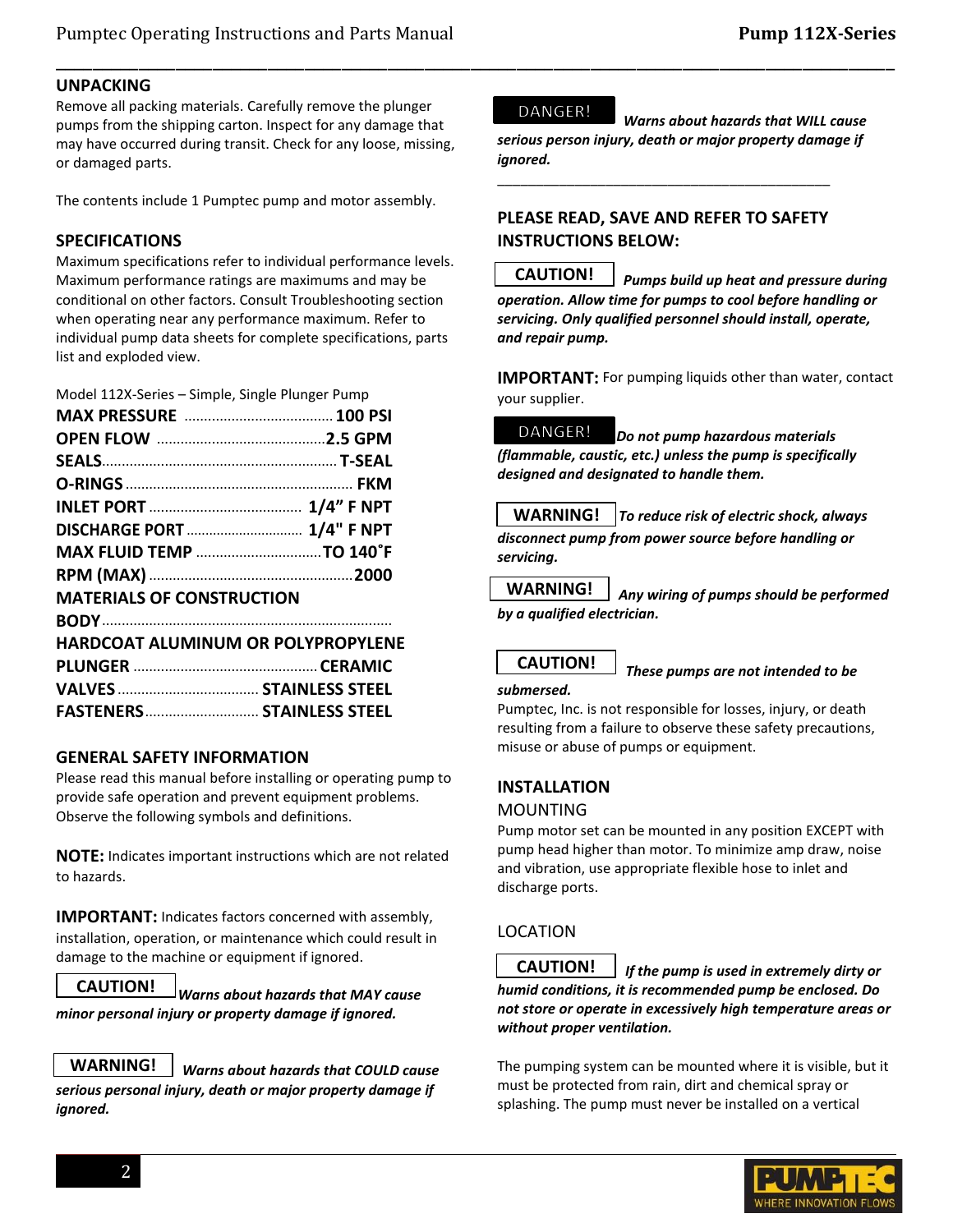#### **UNPACKING**

Remove all packing materials. Carefully remove the plunger pumps from the shipping carton. Inspect for any damage that may have occurred during transit. Check for any loose, missing, or damaged parts.

The contents include 1 Pumptec pump and motor assembly.

#### **SPECIFICATIONS**

Maximum specifications refer to individual performance levels. Maximum performance ratings are maximums and may be conditional on other factors. Consult Troubleshooting section when operating near any performance maximum. Refer to individual pump data sheets for complete specifications, parts list and exploded view.

Model 112X-Series – Simple, Single Plunger Pump

| DISCHARGE PORT  1/4" F NPT                |  |
|-------------------------------------------|--|
|                                           |  |
|                                           |  |
| <b>MATERIALS OF CONSTRUCTION</b>          |  |
|                                           |  |
| <b>HARDCOAT ALUMINUM OR POLYPROPYLENE</b> |  |
|                                           |  |
|                                           |  |
| FASTENERS  STAINLESS STEEL                |  |

#### **GENERAL SAFETY INFORMATION**

Please read this manual before installing or operating pump to provide safe operation and prevent equipment problems. Observe the following symbols and definitions.

**NOTE:** Indicates important instructions which are not related to hazards.

**IMPORTANT:** Indicates factors concerned with assembly, installation, operation, or maintenance which could result in damage to the machine or equipment if ignored.

*Warns about hazards that MAY cause minor personal injury or property damage if ignored.* **CAUTION!**



*Warns about hazards that COULD cause* 

*serious personal injury, death or major property damage if ignored.*

#### DANGER!

\_\_\_\_\_\_\_\_\_\_\_\_\_\_\_\_\_\_\_\_\_\_\_\_\_\_\_\_\_\_\_\_\_\_\_\_\_\_\_\_\_\_\_\_\_\_\_\_\_\_\_\_\_\_\_\_\_\_\_\_\_\_\_\_\_\_\_\_\_\_\_\_\_\_\_\_\_\_\_\_\_\_\_\_\_\_\_\_\_\_\_

 *Warns about hazards that WILL cause serious person injury, death or major property damage if ignored.*

# **PLEASE READ, SAVE AND REFER TO SAFETY INSTRUCTIONS BELOW:**

\_\_\_\_\_\_\_\_\_\_\_\_\_\_\_\_\_\_\_\_\_\_\_\_\_\_\_\_\_\_\_\_\_\_\_\_\_\_\_\_\_\_\_

 *Pumps build up heat and pressure during operation. Allow time for pumps to cool before handling or servicing. Only qualified personnel should install, operate, and repair pump.* **CAUTION!**

**IMPORTANT:** For pumping liquids other than water, contact your supplier.

DANGER! *Do not pump hazardous materials (flammable, caustic, etc.) unless the pump is specifically designed and designated to handle them.*

*To reduce risk of electric shock, always disconnect pump from power source before handling or servicing.* **WARNING!**

 *Any wiring of pumps should be performed by a qualified electrician.* **WARNING!**

# **CAUTION!**

*These pumps are not intended to be*

Pumptec, Inc. is not responsible for losses, injury, or death resulting from a failure to observe these safety precautions, misuse or abuse of pumps or equipment.

#### **INSTALLATION**

#### MOUNTING

*submersed.*

Pump motor set can be mounted in any position EXCEPT with pump head higher than motor. To minimize amp draw, noise and vibration, use appropriate flexible hose to inlet and discharge ports.

# LOCATION

 *If the pump is used in extremely dirty or humid conditions, it is recommended pump be enclosed. Do not store or operate in excessively high temperature areas or without proper ventilation.* **CAUTION!**

The pumping system can be mounted where it is visible, but it must be protected from rain, dirt and chemical spray or splashing. The pump must never be installed on a vertical

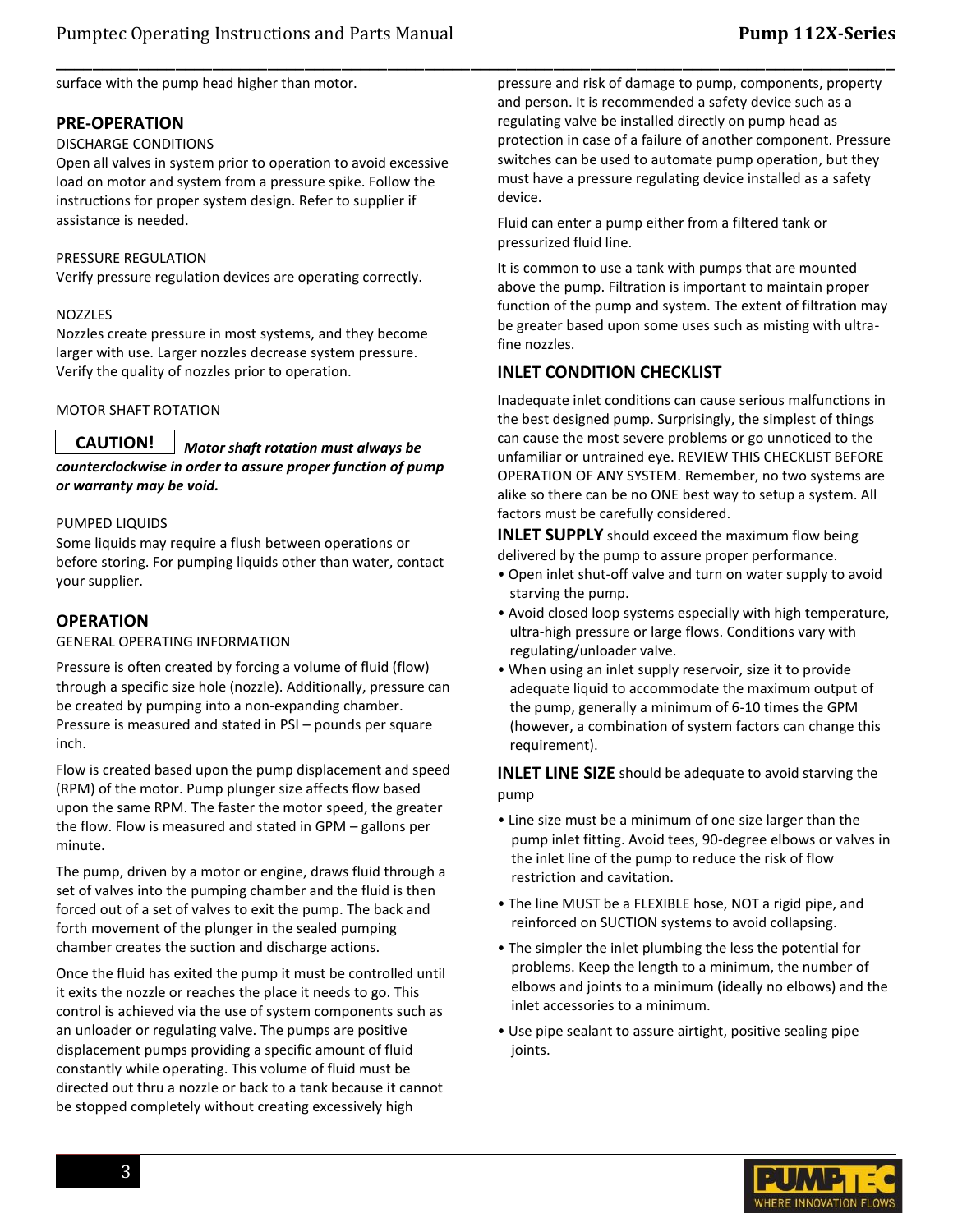surface with the pump head higher than motor.

#### **PRE-OPERATION**

#### DISCHARGE CONDITIONS

Open all valves in system prior to operation to avoid excessive load on motor and system from a pressure spike. Follow the instructions for proper system design. Refer to supplier if assistance is needed.

#### PRESSURE REGULATION

Verify pressure regulation devices are operating correctly.

#### NOZZLES

Nozzles create pressure in most systems, and they become larger with use. Larger nozzles decrease system pressure. Verify the quality of nozzles prior to operation.

#### MOTOR SHAFT ROTATION

 *Motor shaft rotation must always be counterclockwise in order to assure proper function of pump or warranty may be void.* **CAUTION!**

#### PUMPED LIQUIDS

Some liquids may require a flush between operations or before storing. For pumping liquids other than water, contact your supplier.

#### **OPERATION**

#### GENERAL OPERATING INFORMATION

Pressure is often created by forcing a volume of fluid (flow) through a specific size hole (nozzle). Additionally, pressure can be created by pumping into a non-expanding chamber. Pressure is measured and stated in PSI – pounds per square inch.

Flow is created based upon the pump displacement and speed (RPM) of the motor. Pump plunger size affects flow based upon the same RPM. The faster the motor speed, the greater the flow. Flow is measured and stated in GPM – gallons per minute.

The pump, driven by a motor or engine, draws fluid through a set of valves into the pumping chamber and the fluid is then forced out of a set of valves to exit the pump. The back and forth movement of the plunger in the sealed pumping chamber creates the suction and discharge actions.

Once the fluid has exited the pump it must be controlled until it exits the nozzle or reaches the place it needs to go. This control is achieved via the use of system components such as an unloader or regulating valve. The pumps are positive displacement pumps providing a specific amount of fluid constantly while operating. This volume of fluid must be directed out thru a nozzle or back to a tank because it cannot be stopped completely without creating excessively high

pressure and risk of damage to pump, components, property and person. It is recommended a safety device such as a regulating valve be installed directly on pump head as protection in case of a failure of another component. Pressure switches can be used to automate pump operation, but they must have a pressure regulating device installed as a safety device.

Fluid can enter a pump either from a filtered tank or pressurized fluid line.

It is common to use a tank with pumps that are mounted above the pump. Filtration is important to maintain proper function of the pump and system. The extent of filtration may be greater based upon some uses such as misting with ultrafine nozzles.

# **INLET CONDITION CHECKLIST**

\_\_\_\_\_\_\_\_\_\_\_\_\_\_\_\_\_\_\_\_\_\_\_\_\_\_\_\_\_\_\_\_\_\_\_\_\_\_\_\_\_\_\_\_\_\_\_\_\_\_\_\_\_\_\_\_\_\_\_\_\_\_\_\_\_\_\_\_\_\_\_\_\_\_\_\_\_\_\_\_\_\_\_\_\_\_\_\_\_\_\_

Inadequate inlet conditions can cause serious malfunctions in the best designed pump. Surprisingly, the simplest of things can cause the most severe problems or go unnoticed to the unfamiliar or untrained eye. REVIEW THIS CHECKLIST BEFORE OPERATION OF ANY SYSTEM. Remember, no two systems are alike so there can be no ONE best way to setup a system. All factors must be carefully considered.

**INLET SUPPLY** should exceed the maximum flow being delivered by the pump to assure proper performance.

- Open inlet shut-off valve and turn on water supply to avoid starving the pump.
- Avoid closed loop systems especially with high temperature, ultra-high pressure or large flows. Conditions vary with regulating/unloader valve.
- When using an inlet supply reservoir, size it to provide adequate liquid to accommodate the maximum output of the pump, generally a minimum of 6-10 times the GPM (however, a combination of system factors can change this requirement).

**INLET LINE SIZE** should be adequate to avoid starving the pump

- Line size must be a minimum of one size larger than the pump inlet fitting. Avoid tees, 90-degree elbows or valves in the inlet line of the pump to reduce the risk of flow restriction and cavitation.
- The line MUST be a FLEXIBLE hose, NOT a rigid pipe, and reinforced on SUCTION systems to avoid collapsing.
- The simpler the inlet plumbing the less the potential for problems. Keep the length to a minimum, the number of elbows and joints to a minimum (ideally no elbows) and the inlet accessories to a minimum.
- Use pipe sealant to assure airtight, positive sealing pipe joints.

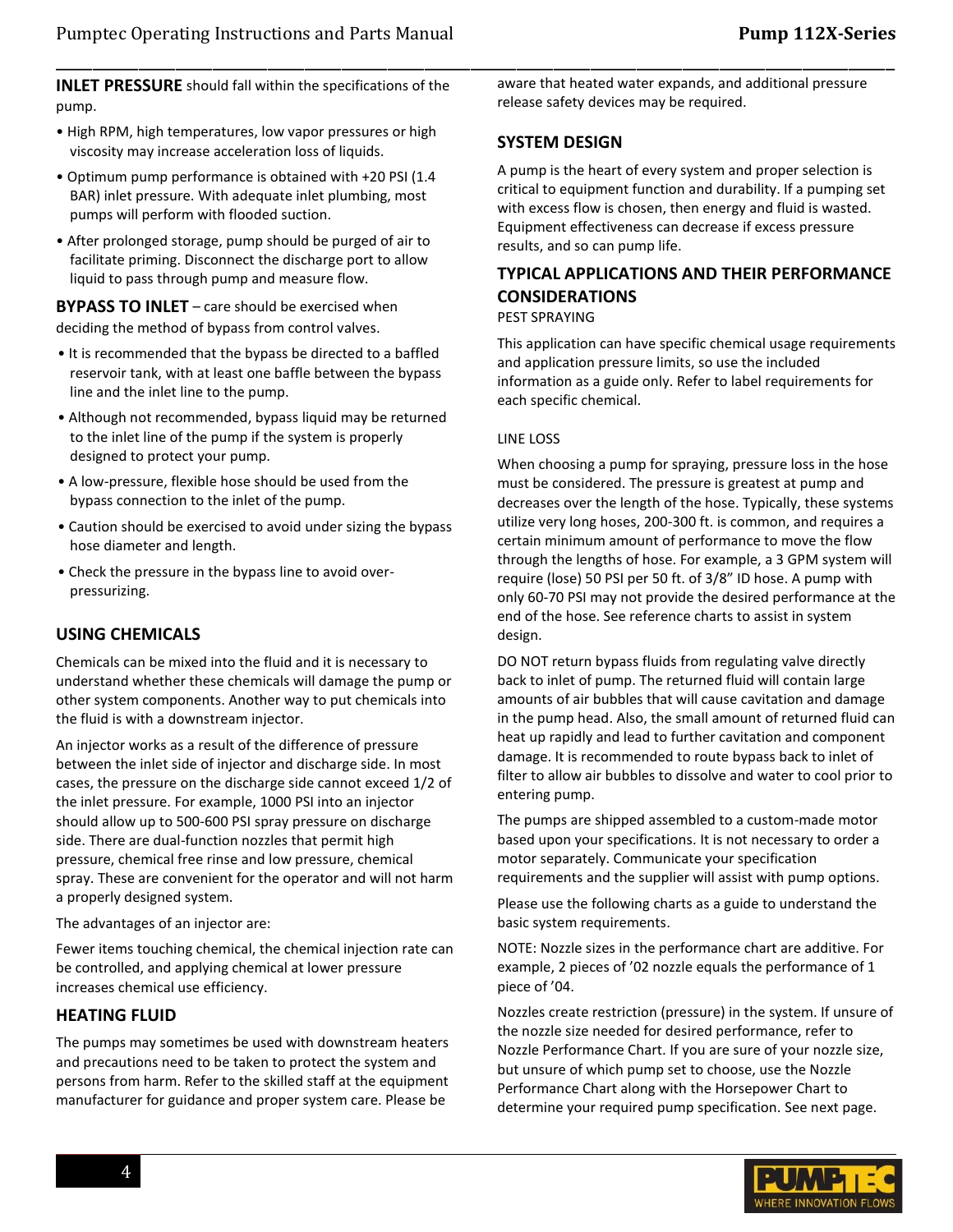**INLET PRESSURE** should fall within the specifications of the pump.

- High RPM, high temperatures, low vapor pressures or high viscosity may increase acceleration loss of liquids.
- Optimum pump performance is obtained with +20 PSI (1.4 BAR) inlet pressure. With adequate inlet plumbing, most pumps will perform with flooded suction.
- After prolonged storage, pump should be purged of air to facilitate priming. Disconnect the discharge port to allow liquid to pass through pump and measure flow.

**BYPASS TO INLET** – care should be exercised when deciding the method of bypass from control valves.

- It is recommended that the bypass be directed to a baffled reservoir tank, with at least one baffle between the bypass line and the inlet line to the pump.
- Although not recommended, bypass liquid may be returned to the inlet line of the pump if the system is properly designed to protect your pump.
- A low-pressure, flexible hose should be used from the bypass connection to the inlet of the pump.
- Caution should be exercised to avoid under sizing the bypass hose diameter and length.
- Check the pressure in the bypass line to avoid overpressurizing.

#### **USING CHEMICALS**

Chemicals can be mixed into the fluid and it is necessary to understand whether these chemicals will damage the pump or other system components. Another way to put chemicals into the fluid is with a downstream injector.

An injector works as a result of the difference of pressure between the inlet side of injector and discharge side. In most cases, the pressure on the discharge side cannot exceed 1/2 of the inlet pressure. For example, 1000 PSI into an injector should allow up to 500-600 PSI spray pressure on discharge side. There are dual-function nozzles that permit high pressure, chemical free rinse and low pressure, chemical spray. These are convenient for the operator and will not harm a properly designed system.

The advantages of an injector are:

Fewer items touching chemical, the chemical injection rate can be controlled, and applying chemical at lower pressure increases chemical use efficiency.

#### **HEATING FLUID**

The pumps may sometimes be used with downstream heaters and precautions need to be taken to protect the system and persons from harm. Refer to the skilled staff at the equipment manufacturer for guidance and proper system care. Please be

aware that heated water expands, and additional pressure release safety devices may be required.

#### **SYSTEM DESIGN**

\_\_\_\_\_\_\_\_\_\_\_\_\_\_\_\_\_\_\_\_\_\_\_\_\_\_\_\_\_\_\_\_\_\_\_\_\_\_\_\_\_\_\_\_\_\_\_\_\_\_\_\_\_\_\_\_\_\_\_\_\_\_\_\_\_\_\_\_\_\_\_\_\_\_\_\_\_\_\_\_\_\_\_\_\_\_\_\_\_\_\_

A pump is the heart of every system and proper selection is critical to equipment function and durability. If a pumping set with excess flow is chosen, then energy and fluid is wasted. Equipment effectiveness can decrease if excess pressure results, and so can pump life.

# **TYPICAL APPLICATIONS AND THEIR PERFORMANCE CONSIDERATIONS**

#### PEST SPRAYING

This application can have specific chemical usage requirements and application pressure limits, so use the included information as a guide only. Refer to label requirements for each specific chemical.

#### LINE LOSS

When choosing a pump for spraying, pressure loss in the hose must be considered. The pressure is greatest at pump and decreases over the length of the hose. Typically, these systems utilize very long hoses, 200-300 ft. is common, and requires a certain minimum amount of performance to move the flow through the lengths of hose. For example, a 3 GPM system will require (lose) 50 PSI per 50 ft. of 3/8" ID hose. A pump with only 60-70 PSI may not provide the desired performance at the end of the hose. See reference charts to assist in system design.

DO NOT return bypass fluids from regulating valve directly back to inlet of pump. The returned fluid will contain large amounts of air bubbles that will cause cavitation and damage in the pump head. Also, the small amount of returned fluid can heat up rapidly and lead to further cavitation and component damage. It is recommended to route bypass back to inlet of filter to allow air bubbles to dissolve and water to cool prior to entering pump.

The pumps are shipped assembled to a custom-made motor based upon your specifications. It is not necessary to order a motor separately. Communicate your specification requirements and the supplier will assist with pump options.

Please use the following charts as a guide to understand the basic system requirements.

NOTE: Nozzle sizes in the performance chart are additive. For example, 2 pieces of '02 nozzle equals the performance of 1 piece of '04.

Nozzles create restriction (pressure) in the system. If unsure of the nozzle size needed for desired performance, refer to Nozzle Performance Chart. If you are sure of your nozzle size, but unsure of which pump set to choose, use the Nozzle Performance Chart along with the Horsepower Chart to determine your required pump specification. See next page.

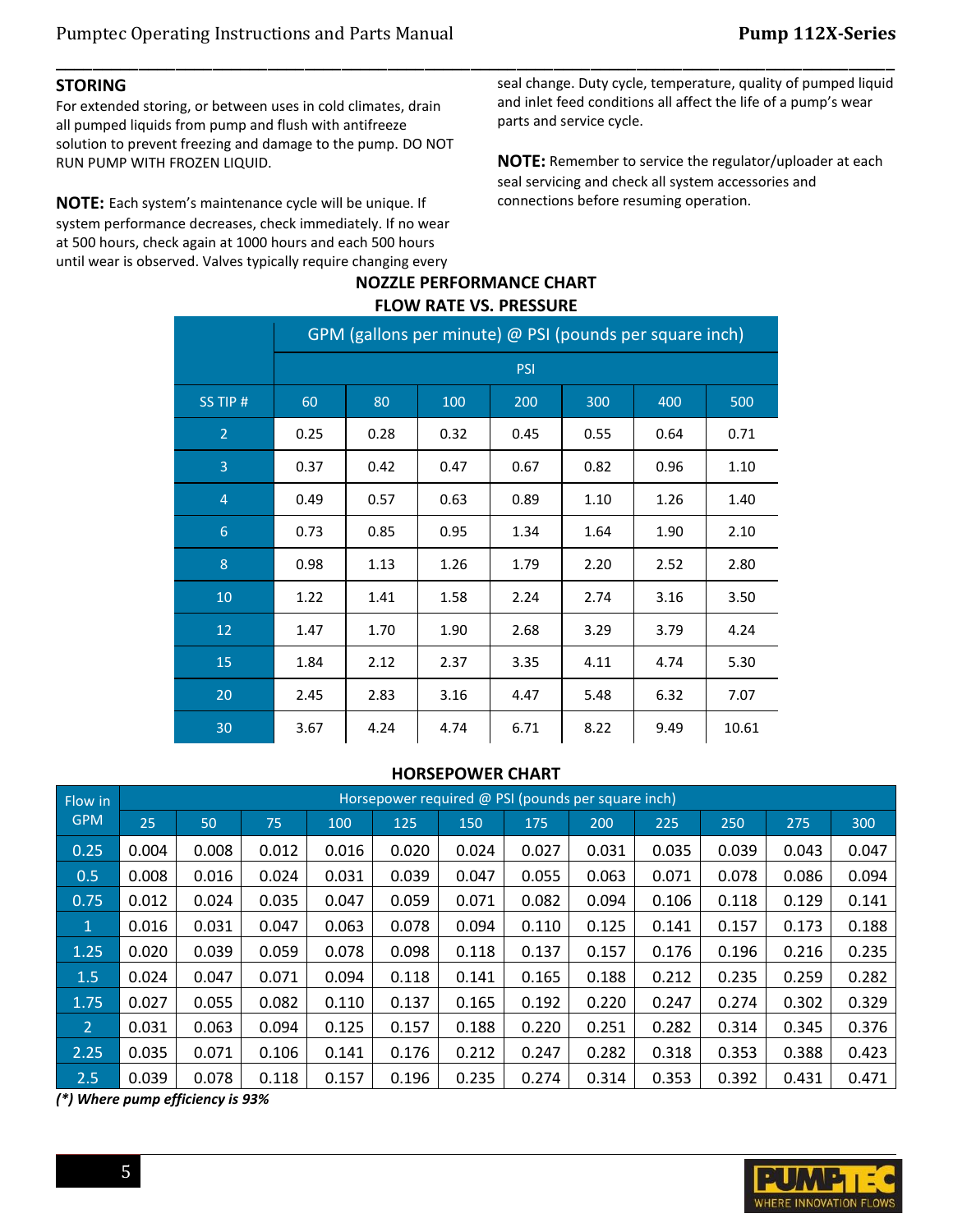#### **STORING**

For extended storing, or between uses in cold climates, drain all pumped liquids from pump and flush with antifreeze solution to prevent freezing and damage to the pump. DO NOT RUN PUMP WITH FROZEN LIQUID.

**NOTE:** Each system's maintenance cycle will be unique. If system performance decreases, check immediately. If no wear at 500 hours, check again at 1000 hours and each 500 hours until wear is observed. Valves typically require changing every

seal change. Duty cycle, temperature, quality of pumped liquid and inlet feed conditions all affect the life of a pump's wear parts and service cycle.

**NOTE:** Remember to service the regulator/uploader at each seal servicing and check all system accessories and connections before resuming operation.

# **NOZZLE PERFORMANCE CHART FLOW RATE VS. PRESSURE**

\_\_\_\_\_\_\_\_\_\_\_\_\_\_\_\_\_\_\_\_\_\_\_\_\_\_\_\_\_\_\_\_\_\_\_\_\_\_\_\_\_\_\_\_\_\_\_\_\_\_\_\_\_\_\_\_\_\_\_\_\_\_\_\_\_\_\_\_\_\_\_\_\_\_\_\_\_\_\_\_\_\_\_\_\_\_\_\_\_\_\_

|                 | GPM (gallons per minute) @ PSI (pounds per square inch) |      |      |      |      |      |       |
|-----------------|---------------------------------------------------------|------|------|------|------|------|-------|
|                 | <b>PSI</b>                                              |      |      |      |      |      |       |
| SS TIP #        | 60                                                      | 80   | 100  | 200  | 300  | 400  | 500   |
| $\overline{2}$  | 0.25                                                    | 0.28 | 0.32 | 0.45 | 0.55 | 0.64 | 0.71  |
| 3               | 0.37                                                    | 0.42 | 0.47 | 0.67 | 0.82 | 0.96 | 1.10  |
| $\overline{4}$  | 0.49                                                    | 0.57 | 0.63 | 0.89 | 1.10 | 1.26 | 1.40  |
| $6\phantom{1}6$ | 0.73                                                    | 0.85 | 0.95 | 1.34 | 1.64 | 1.90 | 2.10  |
| 8               | 0.98                                                    | 1.13 | 1.26 | 1.79 | 2.20 | 2.52 | 2.80  |
| 10              | 1.22                                                    | 1.41 | 1.58 | 2.24 | 2.74 | 3.16 | 3.50  |
| 12              | 1.47                                                    | 1.70 | 1.90 | 2.68 | 3.29 | 3.79 | 4.24  |
| 15              | 1.84                                                    | 2.12 | 2.37 | 3.35 | 4.11 | 4.74 | 5.30  |
| 20              | 2.45                                                    | 2.83 | 3.16 | 4.47 | 5.48 | 6.32 | 7.07  |
| 30              | 3.67                                                    | 4.24 | 4.74 | 6.71 | 8.22 | 9.49 | 10.61 |

#### **HORSEPOWER CHART**

| Flow in    |       | Horsepower required @ PSI (pounds per square inch) |       |       |       |       |       |       |       |       |       |       |
|------------|-------|----------------------------------------------------|-------|-------|-------|-------|-------|-------|-------|-------|-------|-------|
| <b>GPM</b> | 25    | 50                                                 | 75    | 100   | 125   | 150   | 175   | 200   | 225   | 250   | 275   | 300   |
| 0.25       | 0.004 | 0.008                                              | 0.012 | 0.016 | 0.020 | 0.024 | 0.027 | 0.031 | 0.035 | 0.039 | 0.043 | 0.047 |
| 0.5        | 0.008 | 0.016                                              | 0.024 | 0.031 | 0.039 | 0.047 | 0.055 | 0.063 | 0.071 | 0.078 | 0.086 | 0.094 |
| 0.75       | 0.012 | 0.024                                              | 0.035 | 0.047 | 0.059 | 0.071 | 0.082 | 0.094 | 0.106 | 0.118 | 0.129 | 0.141 |
| $\sqrt{1}$ | 0.016 | 0.031                                              | 0.047 | 0.063 | 0.078 | 0.094 | 0.110 | 0.125 | 0.141 | 0.157 | 0.173 | 0.188 |
| 1.25       | 0.020 | 0.039                                              | 0.059 | 0.078 | 0.098 | 0.118 | 0.137 | 0.157 | 0.176 | 0.196 | 0.216 | 0.235 |
| 1.5        | 0.024 | 0.047                                              | 0.071 | 0.094 | 0.118 | 0.141 | 0.165 | 0.188 | 0.212 | 0.235 | 0.259 | 0.282 |
| 1.75       | 0.027 | 0.055                                              | 0.082 | 0.110 | 0.137 | 0.165 | 0.192 | 0.220 | 0.247 | 0.274 | 0.302 | 0.329 |
| 2          | 0.031 | 0.063                                              | 0.094 | 0.125 | 0.157 | 0.188 | 0.220 | 0.251 | 0.282 | 0.314 | 0.345 | 0.376 |
| 2.25       | 0.035 | 0.071                                              | 0.106 | 0.141 | 0.176 | 0.212 | 0.247 | 0.282 | 0.318 | 0.353 | 0.388 | 0.423 |
| 2.5        | 0.039 | 0.078                                              | 0.118 | 0.157 | 0.196 | 0.235 | 0.274 | 0.314 | 0.353 | 0.392 | 0.431 | 0.471 |

*(\*) Where pump efficiency is 93%*

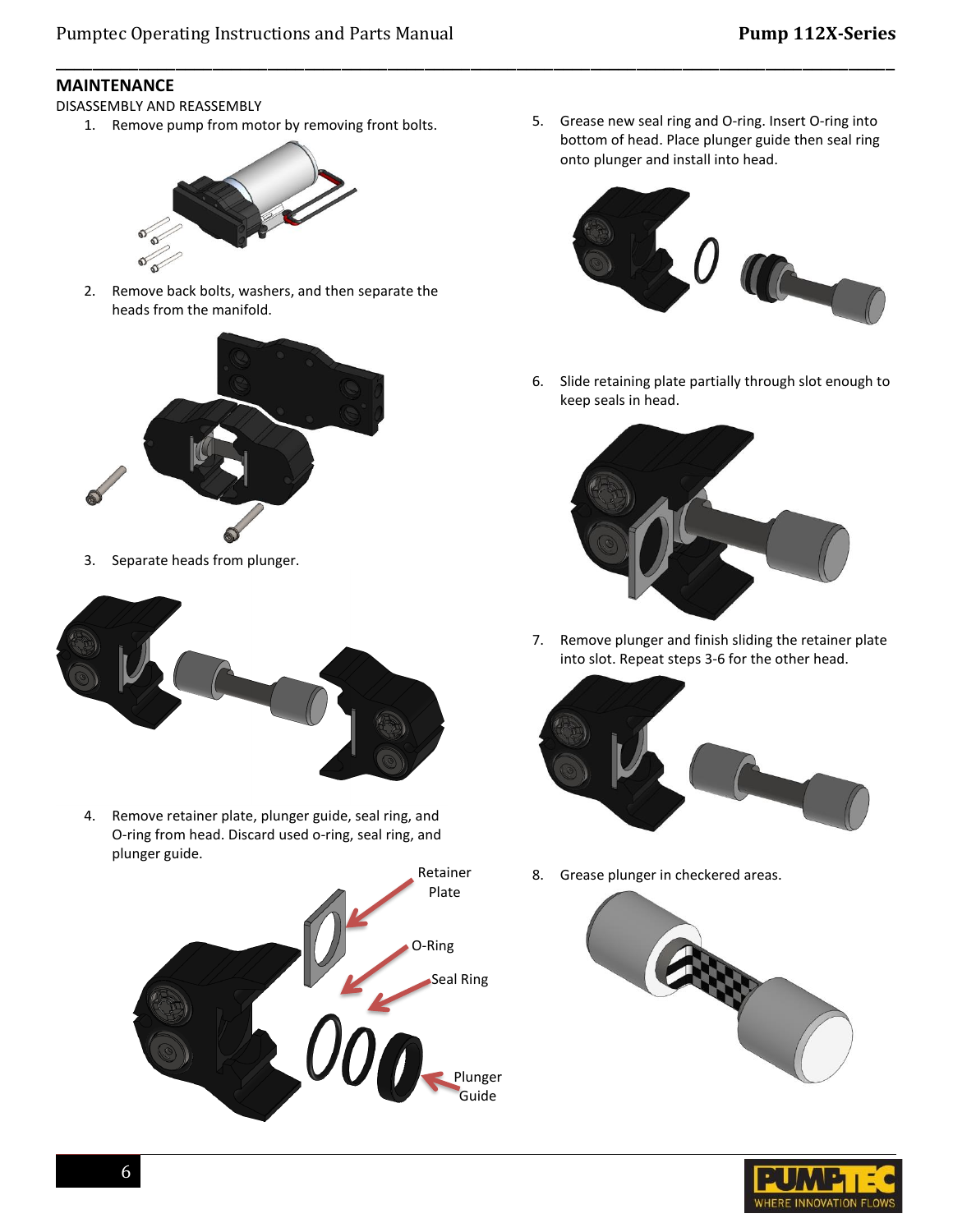\_\_\_\_\_\_\_\_\_\_\_\_\_\_\_\_\_\_\_\_\_\_\_\_\_\_\_\_\_\_\_\_\_\_\_\_\_\_\_\_\_\_\_\_\_\_\_\_\_\_\_\_\_\_\_\_\_\_\_\_\_\_\_\_\_\_\_\_\_\_\_\_\_\_\_\_\_\_\_\_\_\_\_\_\_\_\_\_\_\_\_

#### **MAINTENANCE**

DISASSEMBLY AND REASSEMBLY

1. Remove pump from motor by removing front bolts.



2. Remove back bolts, washers, and then separate the heads from the manifold.



3. Separate heads from plunger.



4. Remove retainer plate, plunger guide, seal ring, and O-ring from head. Discard used o-ring, seal ring, and plunger guide.



5. Grease new seal ring and O-ring. Insert O-ring into bottom of head. Place plunger guide then seal ring onto plunger and install into head.



6. Slide retaining plate partially through slot enough to keep seals in head.



7. Remove plunger and finish sliding the retainer plate into slot. Repeat steps 3-6 for the other head.



8. Grease plunger in checkered areas.



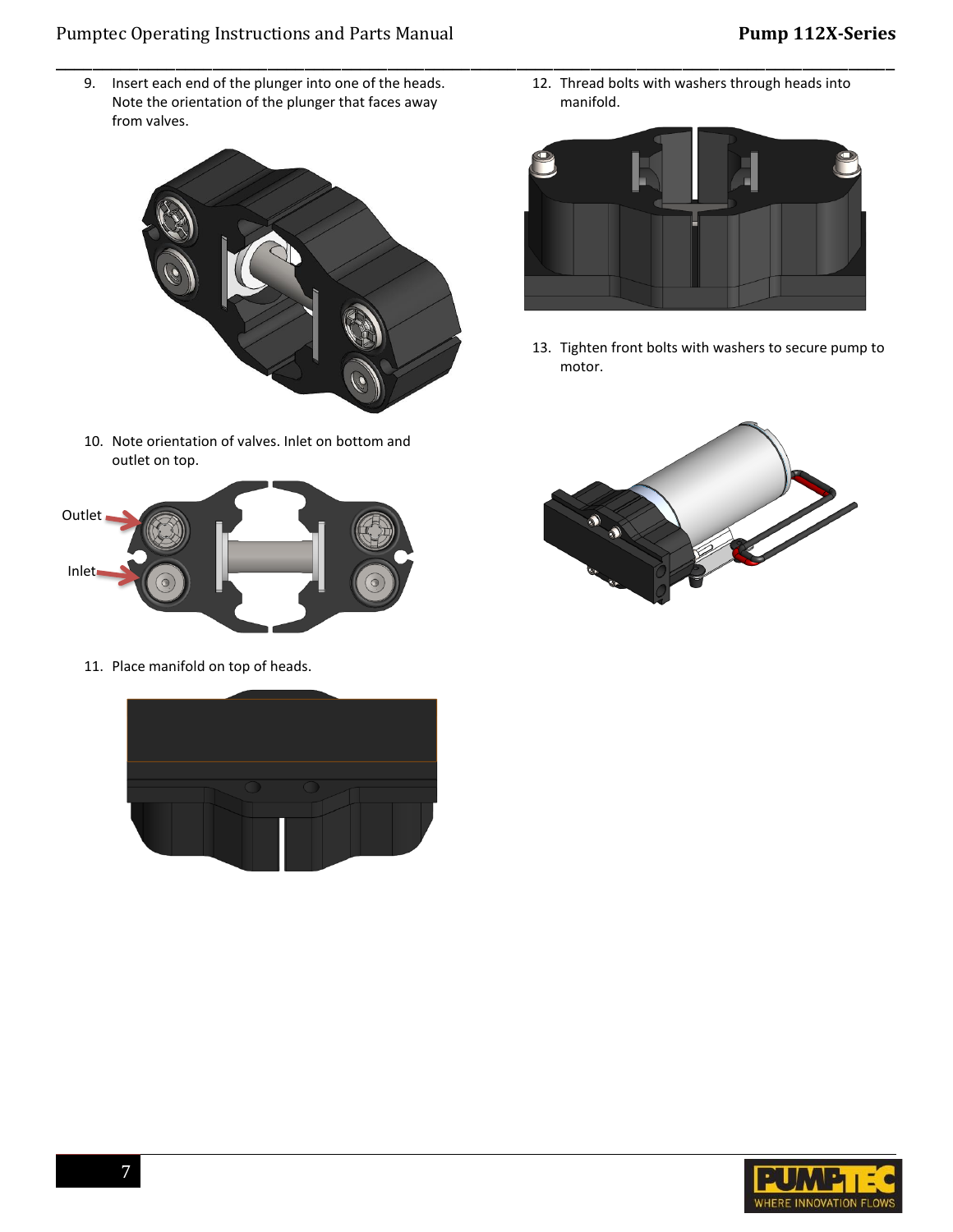# Pumptec Operating Instructions and Parts Manual **Pump 112X-Series**

9. Insert each end of the plunger into one of the heads. Note the orientation of the plunger that faces away from valves.

\_\_\_\_\_\_\_\_\_\_\_\_\_\_\_\_\_\_\_\_\_\_\_\_\_\_\_\_\_\_\_\_\_\_\_\_\_\_\_\_\_\_\_\_\_\_\_\_\_\_\_\_\_\_\_\_\_\_\_\_\_\_\_\_\_\_\_\_\_\_\_\_\_\_\_\_\_\_\_\_\_\_\_\_\_\_\_\_\_\_\_



10. Note orientation of valves. Inlet on bottom and outlet on top.



11. Place manifold on top of heads.



12. Thread bolts with washers through heads into manifold.



13. Tighten front bolts with washers to secure pump to motor.



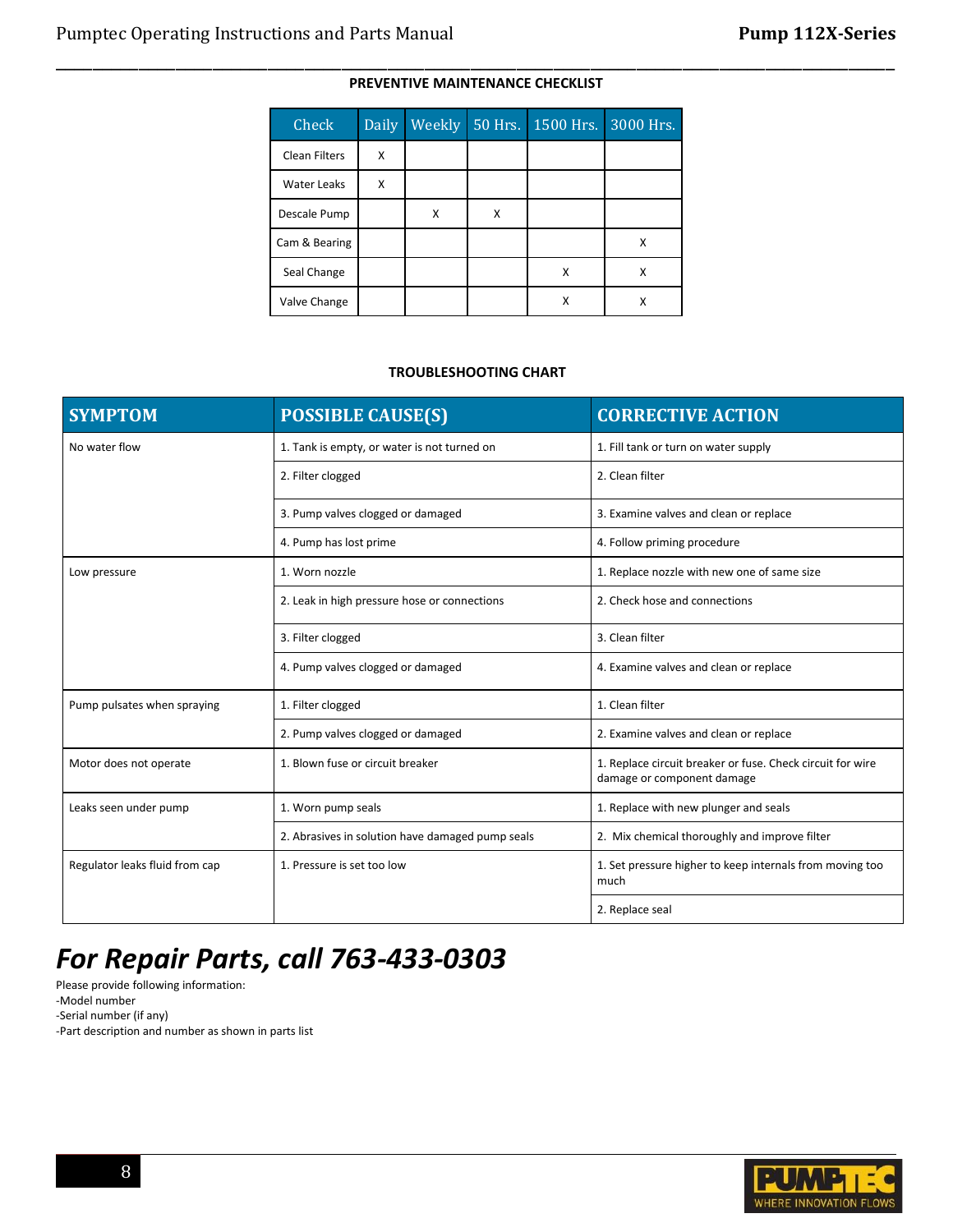# \_\_\_\_\_\_\_\_\_\_\_\_\_\_\_\_\_\_\_\_\_\_\_\_\_\_\_\_\_\_\_\_\_\_\_\_\_\_\_\_\_\_\_\_\_\_\_\_\_\_\_\_\_\_\_\_\_\_\_\_\_\_\_\_\_\_\_\_\_\_\_\_\_\_\_\_\_\_\_\_\_\_\_\_\_\_\_\_\_\_\_ **PREVENTIVE MAINTENANCE CHECKLIST**

| Check                | <b>Daily</b> | Weekly | 50 Hrs. | 1500 Hrs. | 3000 Hrs. |
|----------------------|--------------|--------|---------|-----------|-----------|
| <b>Clean Filters</b> | X            |        |         |           |           |
| <b>Water Leaks</b>   | X            |        |         |           |           |
| Descale Pump         |              | X      | x       |           |           |
| Cam & Bearing        |              |        |         |           | x         |
| Seal Change          |              |        |         | X         | x         |
| Valve Change         |              |        |         | χ         | x         |

#### **TROUBLESHOOTING CHART**

| <b>SYMPTOM</b>                 | <b>POSSIBLE CAUSE(S)</b>                         | <b>CORRECTIVE ACTION</b>                                                                 |  |  |  |
|--------------------------------|--------------------------------------------------|------------------------------------------------------------------------------------------|--|--|--|
| No water flow                  | 1. Tank is empty, or water is not turned on      | 1. Fill tank or turn on water supply                                                     |  |  |  |
|                                | 2. Filter clogged                                | 2. Clean filter                                                                          |  |  |  |
|                                | 3. Pump valves clogged or damaged                | 3. Examine valves and clean or replace                                                   |  |  |  |
|                                | 4. Pump has lost prime                           | 4. Follow priming procedure                                                              |  |  |  |
| Low pressure                   | 1. Worn nozzle                                   | 1. Replace nozzle with new one of same size                                              |  |  |  |
|                                | 2. Leak in high pressure hose or connections     | 2. Check hose and connections                                                            |  |  |  |
|                                | 3. Filter clogged                                | 3. Clean filter                                                                          |  |  |  |
|                                | 4. Pump valves clogged or damaged                | 4. Examine valves and clean or replace                                                   |  |  |  |
| Pump pulsates when spraying    | 1. Filter clogged                                | 1. Clean filter                                                                          |  |  |  |
|                                | 2. Pump valves clogged or damaged                | 2. Examine valves and clean or replace                                                   |  |  |  |
| Motor does not operate         | 1. Blown fuse or circuit breaker                 | 1. Replace circuit breaker or fuse. Check circuit for wire<br>damage or component damage |  |  |  |
| Leaks seen under pump          | 1. Worn pump seals                               | 1. Replace with new plunger and seals                                                    |  |  |  |
|                                | 2. Abrasives in solution have damaged pump seals | 2. Mix chemical thoroughly and improve filter                                            |  |  |  |
| Regulator leaks fluid from cap | 1. Pressure is set too low                       | 1. Set pressure higher to keep internals from moving too<br>much                         |  |  |  |
|                                |                                                  | 2. Replace seal                                                                          |  |  |  |

# *For Repair Parts, call 763-433-0303*

Please provide following information: -Model number -Serial number (if any)

-Part description and number as shown in parts list

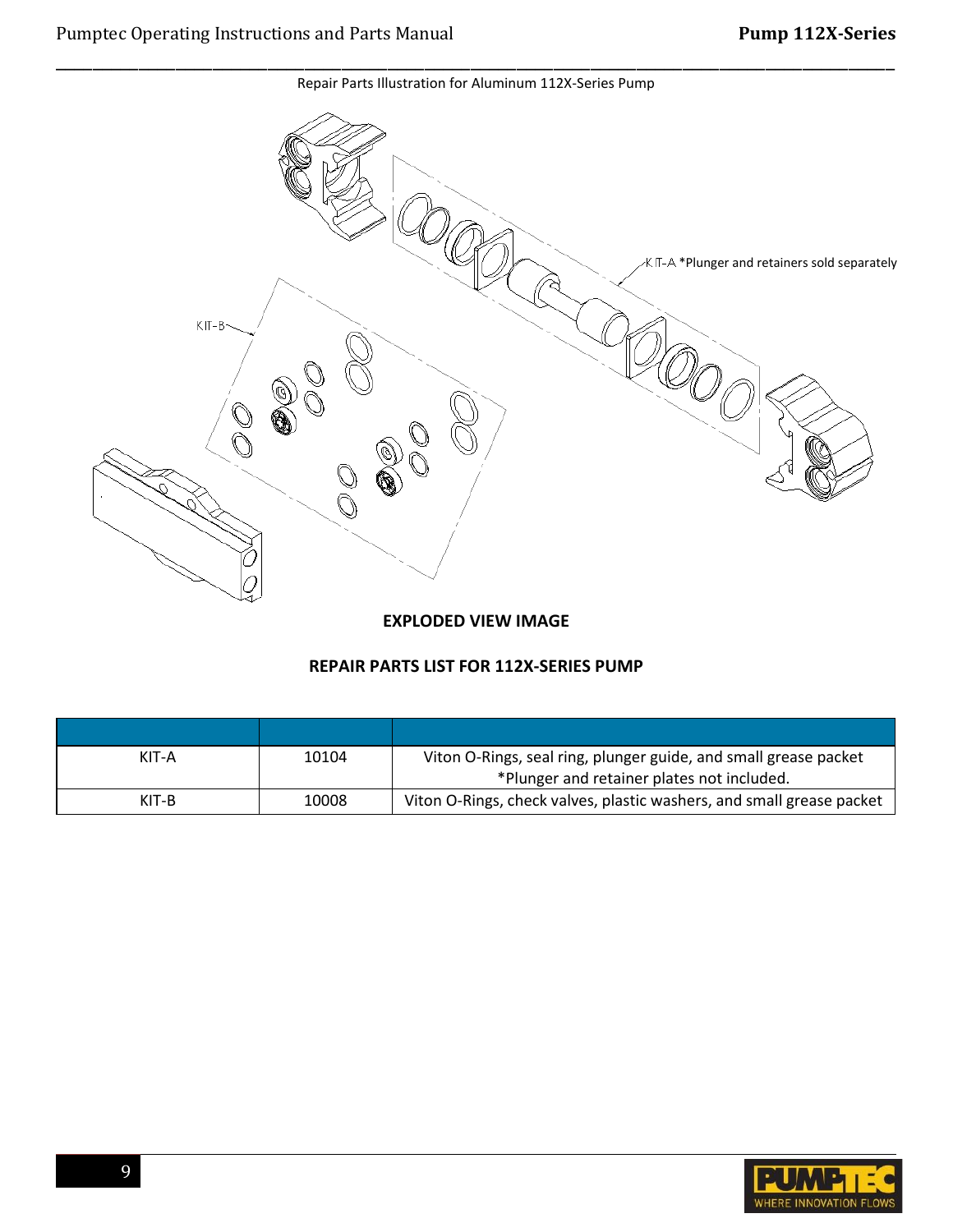KIT-A \*Plunger and retainers sold separately  $KIT-B$ 

\_\_\_\_\_\_\_\_\_\_\_\_\_\_\_\_\_\_\_\_\_\_\_\_\_\_\_\_\_\_\_\_\_\_\_\_\_\_\_\_\_\_\_\_\_\_\_\_\_\_\_\_\_\_\_\_\_\_\_\_\_\_\_\_\_\_\_\_\_\_\_\_\_\_\_\_\_\_\_\_\_\_\_\_\_\_\_\_\_\_\_

Repair Parts Illustration for Aluminum 112X-Series Pump

### **EXPLODED VIEW IMAGE**

# **REPAIR PARTS LIST FOR 112X-SERIES PUMP**

| KIT-A   | 10104 | Viton O-Rings, seal ring, plunger guide, and small grease packet<br>*Plunger and retainer plates not included. |
|---------|-------|----------------------------------------------------------------------------------------------------------------|
| $KIT-B$ | 10008 | Viton O-Rings, check valves, plastic washers, and small grease packet                                          |

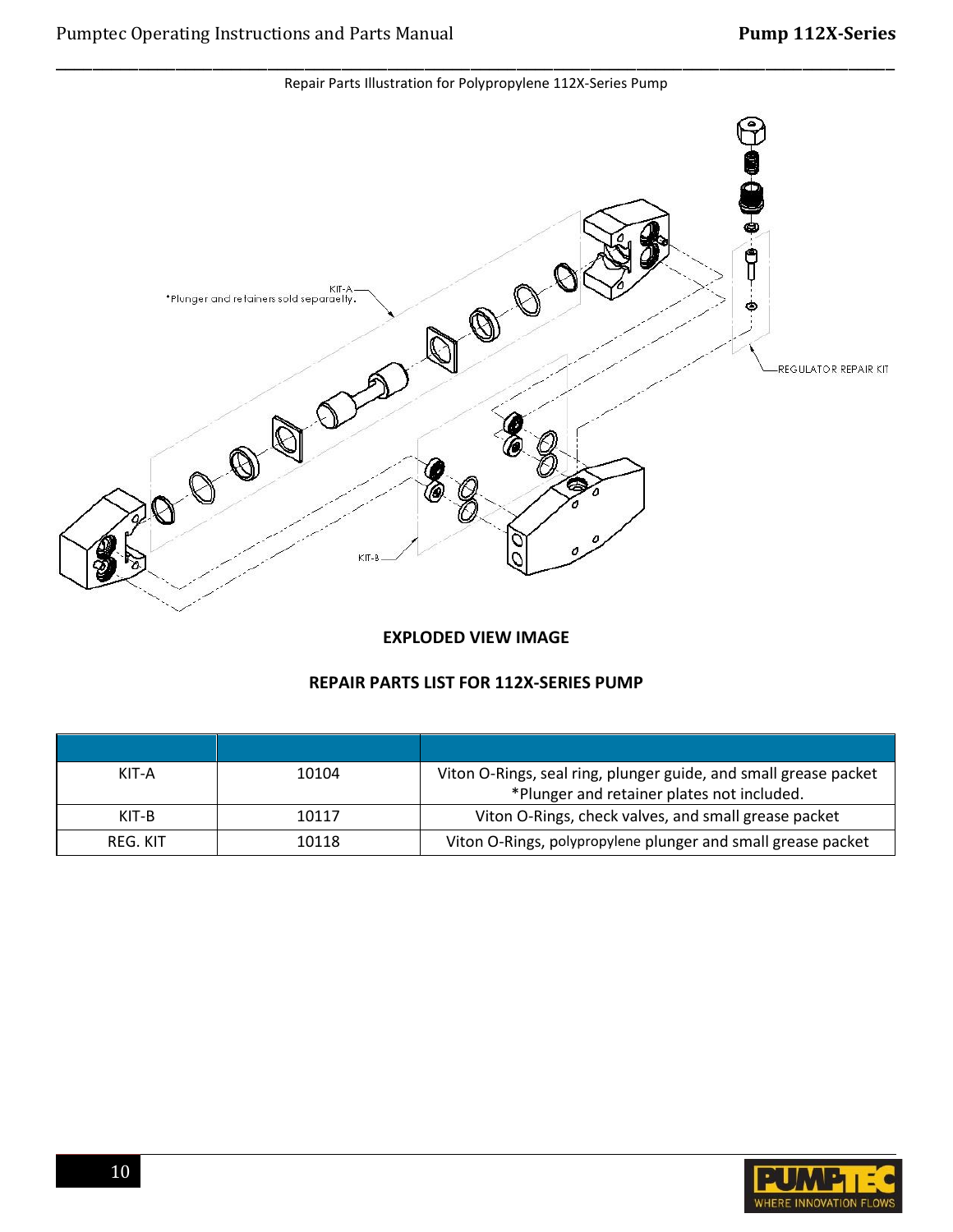\_\_\_\_\_\_\_\_\_\_\_\_\_\_\_\_\_\_\_\_\_\_\_\_\_\_\_\_\_\_\_\_\_\_\_\_\_\_\_\_\_\_\_\_\_\_\_\_\_\_\_\_\_\_\_\_\_\_\_\_\_\_\_\_\_\_\_\_\_\_\_\_\_\_\_\_\_\_\_\_\_\_\_\_\_\_\_\_\_\_\_ Repair Parts Illustration for Polypropylene 112X-Series Pump



#### **EXPLODED VIEW IMAGE**

#### **REPAIR PARTS LIST FOR 112X-SERIES PUMP**

| KIT-A    | 10104 | Viton O-Rings, seal ring, plunger guide, and small grease packet |
|----------|-------|------------------------------------------------------------------|
|          |       | *Plunger and retainer plates not included.                       |
| KIT-B    | 10117 | Viton O-Rings, check valves, and small grease packet             |
| REG. KIT | 10118 | Viton O-Rings, polypropylene plunger and small grease packet     |